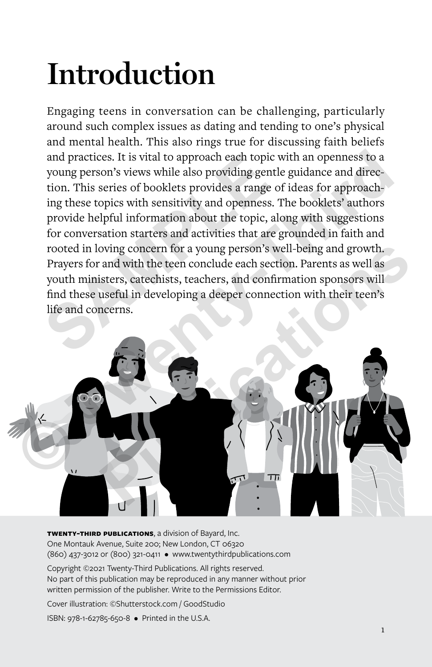# **Introduction**

Engaging teens in conversation can be challenging, particularly around such complex issues as dating and tending to one's physical and mental health. This also rings true for discussing faith beliefs and practices. It is vital to approach each topic with an openness to a young person's views while also providing gentle guidance and direction. This series of booklets provides a range of ideas for approaching these topics with sensitivity and openness. The booklets' authors provide helpful information about the topic, along with suggestions for conversation starters and activities that are grounded in faith and rooted in loving concern for a young person's well-being and growth. Prayers for and with the teen conclude each section. Parents as well as youth ministers, catechists, teachers, and confirmation sponsors will find these useful in developing a deeper connection with their teen's life and concerns. and practices. It is vital to approach each topic w<br>young person's views while also providing gentle<br>tion. This series of booklets provides a range of<br>ing these topics with sensitivity and openness. Tl<br>provide helpful info



**twenty-third publications**, a division of Bayard, Inc. One Montauk Avenue, Suite 200; New London, CT 06320 (860) 437-3012 or (800) 321-0411 • www.twentythirdpublications.com

Copyright ©2021 Twenty-Third Publications. All rights reserved. No part of this publication may be reproduced in any manner without prior written permission of the publisher. Write to the Permissions Editor.

Cover illustration: ©Shutterstock.com / GoodStudio

ISBN: 978-1-62785-650-8 • Printed in the U.S.A.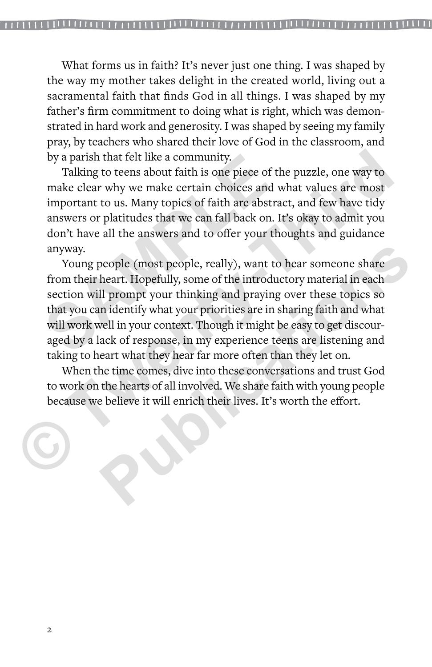What forms us in faith? It's never just one thing. I was shaped by the way my mother takes delight in the created world, living out a sacramental faith that finds God in all things. I was shaped by my father's firm commitment to doing what is right, which was demonstrated in hard work and generosity. I was shaped by seeing my family pray, by teachers who shared their love of God in the classroom, and by a parish that felt like a community.

Talking to teens about faith is one piece of the puzzle, one way to make clear why we make certain choices and what values are most important to us. Many topics of faith are abstract, and few have tidy answers or platitudes that we can fall back on. It's okay to admit you don't have all the answers and to offer your thoughts and guidance anyway.

Young people (most people, really), want to hear someone share from their heart. Hopefully, some of the introductory material in each section will prompt your thinking and praying over these topics so that you can identify what your priorities are in sharing faith and what will work well in your context. Though it might be easy to get discouraged by a lack of response, in my experience teens are listening and taking to heart what they hear far more often than they let on. by a parish that felt like a community.<br>
Talking to teens about faith is one piece of the<br>
make clear why we make certain choices and w<br>
important to us. Many topics of faith are abstrace<br>
answers or platitudes that we can by a parish that felt like a community.<br>
Talking to teens about faith is one piece of the puzzle, one way to<br>
make clear why we make certain choices and what values are most<br>
important to us. Many topics of faith are abstr beople (most people, really), want to hear someone share<br>heart. Hopefully, some of the introductory material in each<br>ll prompt your thinking and praying over these topics so<br>n identify what your priorities are in sharing f

When the time comes, dive into these conversations and trust God to work on the hearts of all involved. We share faith with young people because we believe it will enrich their lives. It's worth the effort.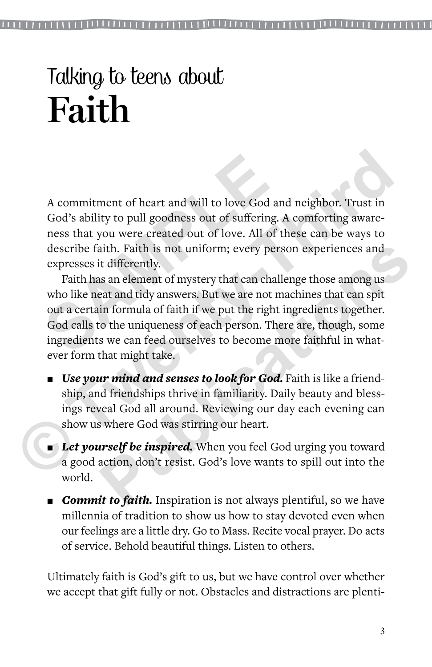A commitment of heart and will to love God and neighbor. Trust in God's ability to pull goodness out of suffering. A comforting awareness that you were created out of love. All of these can be ways to describe faith. Faith is not uniform; every person experiences and expresses it differently.

Faith has an element of mystery that can challenge those among us who like neat and tidy answers. But we are not machines that can spit out a certain formula of faith if we put the right ingredients together. God calls to the uniqueness of each person. There are, though, some ingredients we can feed ourselves to become more faithful in whatever form that might take. A commitment of heart and will to love God and<br>God's ability to pull goodness out of suffering. *A*<br>ness that you were created out of love. All of the<br>describe faith. Faith is not uniform; every pers<br>expresses it different A commitment of heart and will to love God and neighbor. Trust in God's ability to pull goodness out of suffering. A comforting awareness that you were created out of love. All of these can be ways to describe faith. Fait ith. Faith is not uniform; every person experiences and<br>t differently.<br>s an element of mystery that can challenge those among us<br>eat and tidy answers. But we are not machines that can spit<br>in formula of faith if we put the

- *Use your mind and senses to look for God.* Faith is like a friendship, and friendships thrive in familiarity. Daily beauty and blessings reveal God all around. Reviewing our day each evening can show us where God was stirring our heart.
- **Let yourself be inspired.** When you feel God urging you toward a good action, don't resist. God's love wants to spill out into the world.
- **Commit to faith.** Inspiration is not always plentiful, so we have millennia of tradition to show us how to stay devoted even when our feelings are a little dry. Go to Mass. Recite vocal prayer. Do acts of service. Behold beautiful things. Listen to others.

Ultimately faith is God's gift to us, but we have control over whether we accept that gift fully or not. Obstacles and distractions are plenti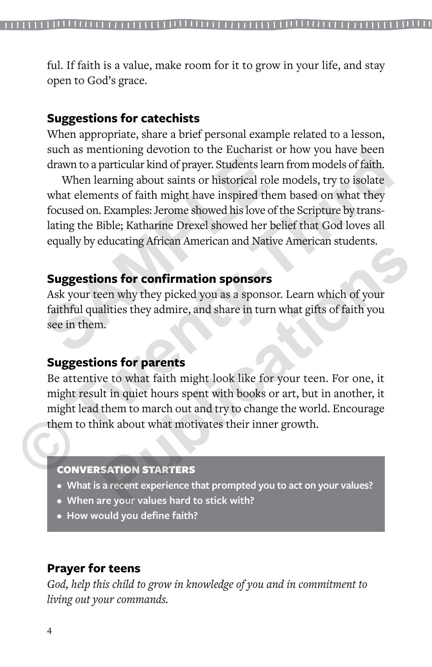ful. If faith is a value, make room for it to grow in your life, and stay open to God's grace.

## **Suggestions for catechists**

When appropriate, share a brief personal example related to a lesson, such as mentioning devotion to the Eucharist or how you have been drawn to a particular kind of prayer. Students learn from models of faith.

When learning about saints or historical role models, try to isolate what elements of faith might have inspired them based on what they focused on. Examples: Jerome showed his love of the Scripture by translating the Bible; Katharine Drexel showed her belief that God loves all equally by educating African American and Native American students. drawn to a particular kind of prayer. Students learn<br>When learning about saints or historical role r<br>what elements of faith might have inspired them<br>focused on. Examples: Jerome showed his love of th<br>lating the Bible; Kath such as mentioning devotion to the Eucharist of now you have been<br>drawn to a particular kind of prayer. Students learn from models of faith.<br>When learning about saints or historical role models, try to isolate<br>what element

## **Suggestions for confirmation sponsors**

Ask your teen why they picked you as a sponsor. Learn which of your faithful qualities they admire, and share in turn what gifts of faith you see in them.

# **Suggestions for parents**

Be attentive to what faith might look like for your teen. For one, it might result in quiet hours spent with books or art, but in another, it might lead them to march out and try to change the world. Encourage them to think about what motivates their inner growth. **Publication Sponsors**<br> **Publication Sponsors**<br> **Publication Sponsors**<br> **Publication Sponsors**<br> **Publication Sponsors**<br> **Publication Sponsors**<br> **Publication Sponsors**<br> **Publication Spons for parents**<br> **Publication Spons fo** 

#### CONVERSATION STARTERS

- **• What is a recent experience that prompted you to act on your values?**
- **• When are your values hard to stick with?**
- **• How would you define faith?**

# **Prayer for teens**

*God, help this child to grow in knowledge of you and in commitment to living out your commands.*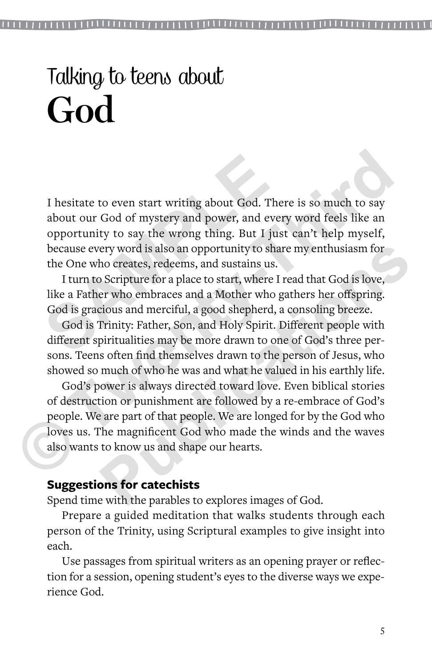I hesitate to even start writing about God. There is so much to say about our God of mystery and power, and every word feels like an opportunity to say the wrong thing. But I just can't help myself, because every word is also an opportunity to share my enthusiasm for the One who creates, redeems, and sustains us. I hesitate to even start writing about God. The<br>about our God of mystery and power, and ever<br>opportunity to say the wrong thing. But I just<br>because every word is also an opportunity to shar<br>the One who creates, redeems, an I hesitate to even start writing about God. There is so much to say about our God of mystery and power, and every word feels like an opportunity to say the wrong thing. But I just can't help myself, because every word is a

I turn to Scripture for a place to start, where I read that God is love, like a Father who embraces and a Mother who gathers her offspring. God is gracious and merciful, a good shepherd, a consoling breeze.

God is Trinity: Father, Son, and Holy Spirit. Different people with different spiritualities may be more drawn to one of God's three persons. Teens often find themselves drawn to the person of Jesus, who showed so much of who he was and what he valued in his earthly life.

God's power is always directed toward love. Even biblical stories of destruction or punishment are followed by a re-embrace of God's people. We are part of that people. We are longed for by the God who loves us. The magnificent God who made the winds and the waves also wants to know us and shape our hearts. ery word is also an opportunity to share my enthusiasm for<br>ho creates, redeems, and sustains us.<br>Scripture for a place to start, where I read that God is love,<br>er who embraces and a Mother who gathers her offspring.<br>cious

# **Suggestions for catechists**

Spend time with the parables to explores images of God.

Prepare a guided meditation that walks students through each person of the Trinity, using Scriptural examples to give insight into each.

Use passages from spiritual writers as an opening prayer or reflection for a session, opening student's eyes to the diverse ways we experience God.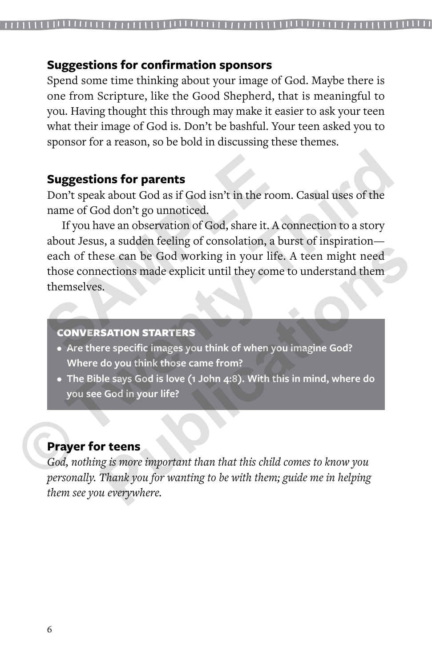#### **Suggestions for confirmation sponsors**

Spend some time thinking about your image of God. Maybe there is one from Scripture, like the Good Shepherd, that is meaningful to you. Having thought this through may make it easier to ask your teen what their image of God is. Don't be bashful. Your teen asked you to sponsor for a reason, so be bold in discussing these themes.

#### **Suggestions for parents**

Don't speak about God as if God isn't in the room. Casual uses of the name of God don't go unnoticed.

If you have an observation of God, share it. A connection to a story about Jesus, a sudden feeling of consolation, a burst of inspiration each of these can be God working in your life. A teen might need those connections made explicit until they come to understand them themselves. **Suggestions for parents**<br>
Don't speak about God as if God isn't in the roon<br>
name of God don't go unnoticed.<br>
If you have an observation of God, share it. A c<br>
about Jesus, a sudden feeling of consolation, a b<br>
each of th **Suggestions for parents**<br>
Don't speak about God as if God isn't in the room. Casual uses of the<br>
name of God don't go unnoticed.<br>
If you have an observation of God, share it. A connection to a story<br>
dout Jesus, a sudden **Publication CONTROVIDE SET ASSESS AND MONOR CONSUMIST AND SET ALSO NOTE ATTENTS.**<br> **PUBLICATE:** A teen might need ecctions made explicit until they come to understand them s.<br> **PUBLICATE:**<br> **PUBLICATE:**<br> **PUBLICATE:**<br> **PU** 

#### CONVERSATION STARTERS

- **• Are there specific images you think of when you imagine God? Where do you think those came from?**
- **• The Bible says God is love (1 John 4:8). With this in mind, where do you see God in your life?**

## **Prayer for teens**

*God, nothing is more important than that this child comes to know you personally. Thank you for wanting to be with them; guide me in helping them see you everywhere.*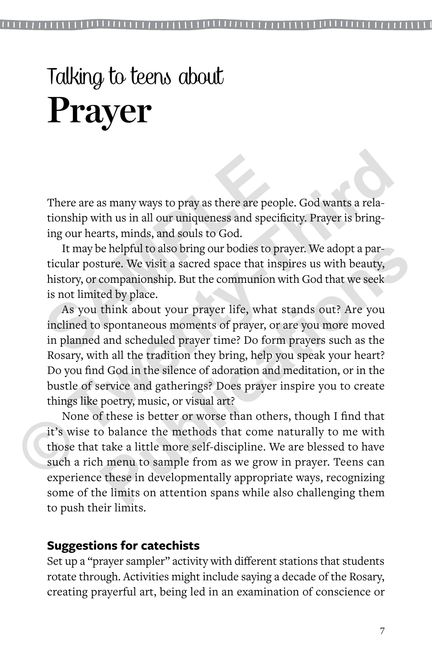There are as many ways to pray as there are people. God wants a relationship with us in all our uniqueness and specificity. Prayer is bringing our hearts, minds, and souls to God.

It may be helpful to also bring our bodies to prayer. We adopt a particular posture. We visit a sacred space that inspires us with beauty, history, or companionship. But the communion with God that we seek is not limited by place. There are as many ways to pray as there are peopitionship with us in all our uniqueness and specific ing our hearts, minds, and souls to God. It may be helpful to also bring our bodies to praticular posture. We visit a sac

As you think about your prayer life, what stands out? Are you inclined to spontaneous moments of prayer, or are you more moved in planned and scheduled prayer time? Do form prayers such as the Rosary, with all the tradition they bring, help you speak your heart? Do you find God in the silence of adoration and meditation, or in the bustle of service and gatherings? Does prayer inspire you to create things like poetry, music, or visual art? There are as many ways to pray as there are people. God wants a relationship with us in all our uniqueness and specificity. Prayer is bringing our hearts, minds, and souls to God.<br>
It may be helpful to also bring our bodie be helpful to also bring our bodies to prayer. We adopt a parture. We visit a sacred space that inspires us with beauty, companionship. But the communion with God that we seek ed by place.<br>
think about your prayer life, wh

None of these is better or worse than others, though I find that it's wise to balance the methods that come naturally to me with those that take a little more self-discipline. We are blessed to have such a rich menu to sample from as we grow in prayer. Teens can experience these in developmentally appropriate ways, recognizing some of the limits on attention spans while also challenging them to push their limits.

# **Suggestions for catechists**

Set up a "prayer sampler" activity with different stations that students rotate through. Activities might include saying a decade of the Rosary, creating prayerful art, being led in an examination of conscience or